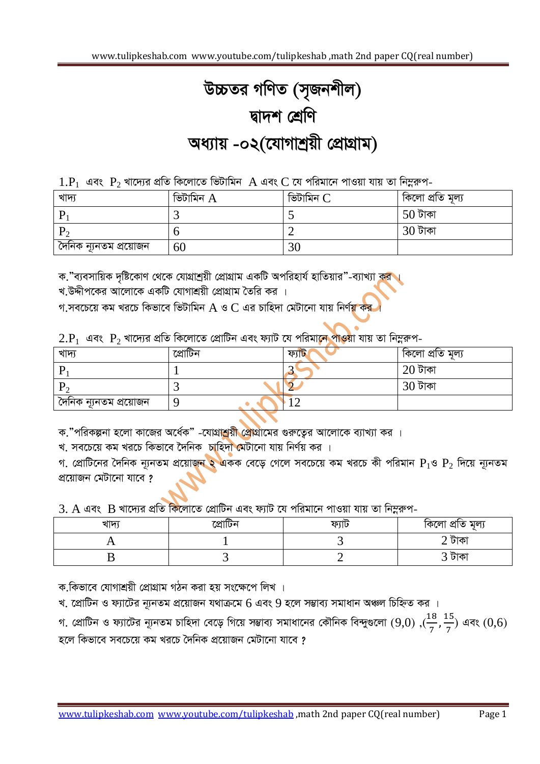## *D"PZi MwYZ (m"Rbkxj) Øv`k †kÖwY Aa¨vq -02(‡hvMvkªqx †cÖvMÖvg)*

 $1.P_1$  এবং  $P_2$  খাদ্যের প্রতি কিলোতে ভিটামিন  $A$  এবং  $C$  যে পরিমানে পাওয়া যায় তা নিম্নরুপ-

| খাদ্য                  | ভিটামিন $A$ | ভিটামিন C | কিলো প্ৰতি মূল্য |
|------------------------|-------------|-----------|------------------|
|                        |             |           | $50$ টাকা        |
|                        |             |           | $30$ টাকা        |
| দৈনিক ন্যূনতম প্ৰয়োজন | 60          |           |                  |

*ক."ব্যবসা*য়িক দৃষ্টিকোণ থেকে যোগ্রাশ্রয়ী প্রোগ্রাম একটি অপরিহার্য হাতিয়ার"-ব্যাখ্যা ক<mark>র</mark> ।

খ.উদ্দীপকের আলোকে একটি যোগাশ্রয়ী প্রোগ্রাম তৈরি কর**।** 

*M.me‡P‡q Kg Li‡P wKfv‡e wfUvwgb* A *I* C *Gi Pvwn`v †gUv‡bv hvq wbY©q Ki |*

 $2.P_1$  এবং  $P_2$  খাদ্যের প্রতি কিলোতে প্রোটিন এবং ফ্যাট যে পরিমা<mark>নে পাও</mark>য়া যায় তা নিম্নরুপ-

| খাদ্য                   | প্রোটিন | ফ্যাচ | কিলো প্ৰতি মূল্য |
|-------------------------|---------|-------|------------------|
|                         |         |       | $20$ টাকা        |
|                         |         |       | $30$ টাকা        |
| ্দৈনিক ন্যূনতম প্ৰয়োজন |         |       |                  |

*ক.*"পরিকল্পনা হলো কাজের অর্ধেক" -যোগ্<mark>রাশ্রয়ী প্রো</mark>গ্রামের গুরুত্বের আলোকে ব্যাখ্যা কর ।

খ. সবচেয়ে কম খরচে কিভাবে দৈনিক চাহিদ<mark>া মে</mark>টানো যায় নির্ণয় কর ।

*গ. প্রোটি*নের দৈনিক ন্যূনতম প্রয়োজন ২ একক বেড়ে গেলে সবচেয়ে কম খরচে কী পরিমান  $P_1$ ও  $P_2$  দিয়ে ন্যূনতম *প্ৰ*য়োজন মেটানো যাবে ?

3. A এবং B খাদ্যের প্রতি কিলোতে প্রোটিন এবং ফ্যাট যে পরিমানে পাওয়া যায় তা নিম্নরুপ-

| খাদ | ফ্যাঢ | কিলো প্ৰাত মূল্য |
|-----|-------|------------------|
|     |       |                  |
|     |       |                  |

ক.কিভাবে যোগাশ্ৰয়ী প্ৰোগ্ৰাম গঠন করা হয় সংক্ষেপে লিখ**।** 

খ. প্রোটিন ও ফ্যাটের ন্যূনতম প্রয়োজন যথাক্রমে 6 এবং 9 হলে সম্ভাব্য সমাধান অঞ্চল চিহ্নিত কর ।

গ. প্রোটিন ও ফ্যাটের ন্যূনতম চাহিদা বেড়ে গিয়ে সম্ভাব্য সমাধানের কৌনিক বিন্দুগুলো (9,0) ,( $\frac{18}{7}$ ,  $\frac{1}{7}$  $\frac{15}{7}$ ) এবং (0,6) *n‡j wKfv‡e me‡P‡q Kg Li‡P •`wbK cÖ‡qvRb †gUv‡bv hv‡e ?*